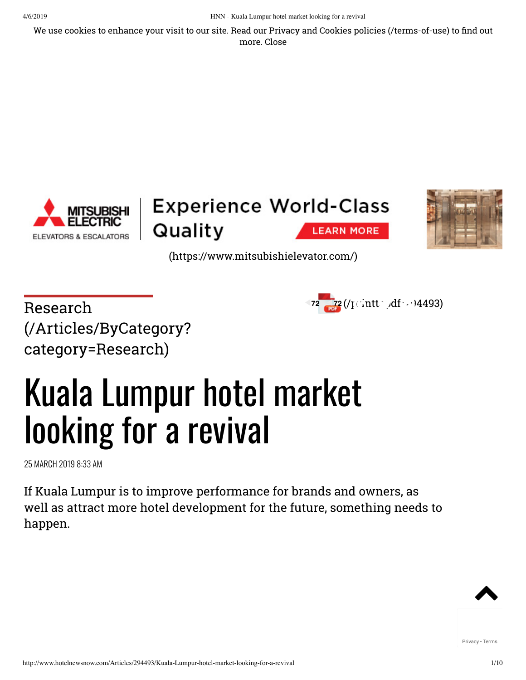We use cookies to enhance your visit to our site. Read our Privacy and Cookies policies [\(/terms-of-use\)](http://www.hotelnewsnow.com/terms-of-use) to find out more. Close





[\(https://www.mitsubishielevator.com/\)](https://www.mitsubishielevator.com/)

 $\text{Research} \quad \text{72} \quad \text{72} \quad \text{(} \text{print} \cdot \text{)} \quad \text{4493)}$ [\(/Articles/ByCategory?](http://www.hotelnewsnow.com/Articles/ByCategory?category=Research) category=Research)

**ELEVATORS & ESCALATORS** 



# Kuala Lumpur hotel market looking for a revival

25 MARCH 2019 8:33 AM

If Kuala Lumpur is to improve performance for brands and owners, as well as attract more hotel development for the future, something needs to happen.

[Privacy](https://www.google.com/intl/en/policies/privacy/) - [Terms](https://www.google.com/intl/en/policies/terms/)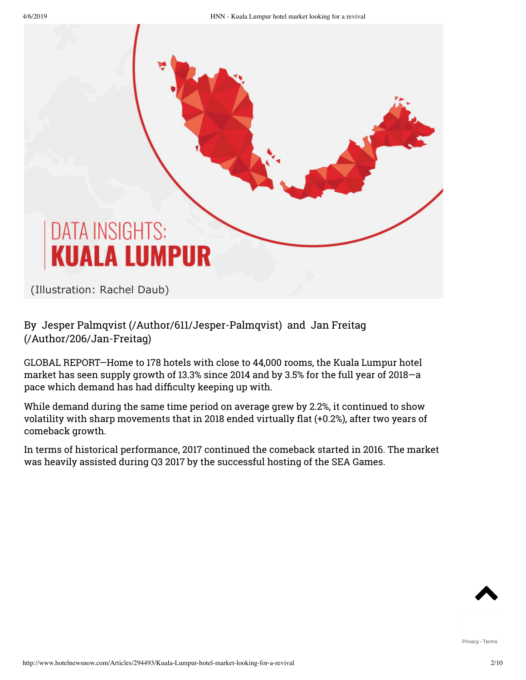## **DATA INSIGHTS: KUALA LUMPUR**

(Illustration: Rachel Daub)

#### [By J](http://www.hotelnewsnow.com/Author/206/Jan-Freitag)[esper Palmqvist \(/Author/611/Jesper-Palmqvist](http://www.hotelnewsnow.com/Author/611/Jesper-Palmqvist)[\) and Jan Freitag](http://www.hotelnewsnow.com/Author/206/Jan-Freitag) (/Author/206/Jan-Freitag)

GLOBAL REPORT—Home to 178 hotels with close to 44,000 rooms, the Kuala Lumpur hotel market has seen supply growth of 13.3% since 2014 and by 3.5% for the full year of 2018—a pace which demand has had difficulty keeping up with.

While demand during the same time period on average grew by 2.2%, it continued to show volatility with sharp movements that in 2018 ended virtually flat (+0.2%), after two years of comeback growth.

In terms of historical performance, 2017 continued the comeback started in 2016. The market was heavily assisted during Q3 2017 by the successful hosting of the SEA Games.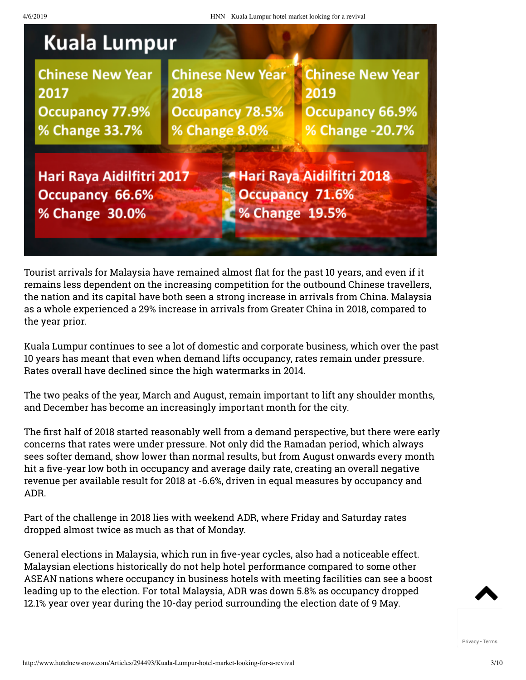

**Chinese New Year** 2017 **Occupancy 77.9%** % Change 33.7%

**Chinese New Year** 2018 **Occupancy 78.5%** % Change 8.0%

**Chinese New Year** 2019 **Occupancy 66.9%** % Change -20.7%

Hari Raya Aidilfitri 2017 **Occupancy 66.6%** % Change 30.0%

- Hari Raya Aidilfitri 2018 Occupancy 71.6% % Change 19.5%

Tourist arrivals for Malaysia have remained almost flat for the past 10 years, and even if it remains less dependent on the increasing competition for the outbound Chinese travellers, the nation and its capital have both seen a strong increase in arrivals from China. Malaysia as a whole experienced a 29% increase in arrivals from Greater China in 2018, compared to the year prior.

Kuala Lumpur continues to see a lot of domestic and corporate business, which over the past 10 years has meant that even when demand lifts occupancy, rates remain under pressure. Rates overall have declined since the high watermarks in 2014.

The two peaks of the year, March and August, remain important to lift any shoulder months, and December has become an increasingly important month for the city.

The first half of 2018 started reasonably well from a demand perspective, but there were early concerns that rates were under pressure. Not only did the Ramadan period, which always sees softer demand, show lower than normal results, but from August onwards every month hit a five-year low both in occupancy and average daily rate, creating an overall negative revenue per available result for 2018 at -6.6%, driven in equal measures by occupancy and ADR.

Part of the challenge in 2018 lies with weekend ADR, where Friday and Saturday rates dropped almost twice as much as that of Monday.

General elections in Malaysia, which run in five-year cycles, also had a noticeable effect. Malaysian elections historically do not help hotel performance compared to some other ASEAN nations where occupancy in business hotels with meeting facilities can see a boost leading up to the election. For total Malaysia, ADR was down 5.8% as occupancy dropped 12.1% year over year during the 10-day period surrounding the election date of 9 May.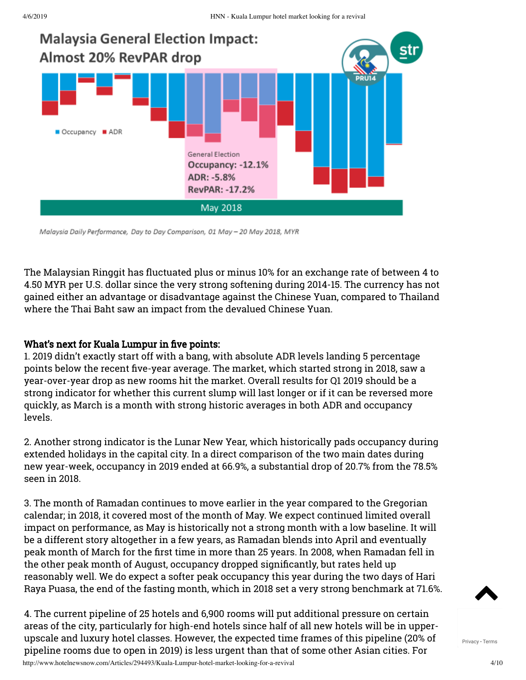

Malaysia Daily Performance, Day to Day Comparison, 01 May - 20 May 2018, MYR

The Malaysian Ringgit has fluctuated plus or minus 10% for an exchange rate of between 4 to 4.50 MYR per U.S. dollar since the very strong softening during 2014-15. The currency has not gained either an advantage or disadvantage against the Chinese Yuan, compared to Thailand where the Thai Baht saw an impact from the devalued Chinese Yuan.

#### What's next for Kuala Lumpur in five points:

1. 2019 didn't exactly start off with a bang, with absolute ADR levels landing 5 percentage points below the recent five-year average. The market, which started strong in 2018, saw a year-over-year drop as new rooms hit the market. Overall results for Q1 2019 should be a strong indicator for whether this current slump will last longer or if it can be reversed more quickly, as March is a month with strong historic averages in both ADR and occupancy levels.

2. Another strong indicator is the Lunar New Year, which historically pads occupancy during extended holidays in the capital city. In a direct comparison of the two main dates during new year-week, occupancy in 2019 ended at 66.9%, a substantial drop of 20.7% from the 78.5% seen in 2018.

3. The month of Ramadan continues to move earlier in the year compared to the Gregorian calendar; in 2018, it covered most of the month of May. We expect continued limited overall impact on performance, as May is historically not a strong month with a low baseline. It will be a different story altogether in a few years, as Ramadan blends into April and eventually peak month of March for the first time in more than 25 years. In 2008, when Ramadan fell in the other peak month of August, occupancy dropped significantly, but rates held up reasonably well. We do expect a softer peak occupancy this year during the two days of Hari Raya Puasa, the end of the fasting month, which in 2018 set a very strong benchmark at 71.6%.

4. The current pipeline of 25 hotels and 6,900 rooms will put additional pressure on certain areas of the city, particularly for high-end hotels since half of all new hotels will be in upperupscale and luxury hotel classes. However, the expected time frames of this pipeline (20% of pipeline rooms due to open in 2019) is less urgent than that of some other Asian cities. For

http://www.hotelnewsnow.com/Articles/294493/Kuala-Lumpur-hotel-market-looking-for-a-revival 4/10

 $\blacktriangle$ 

[Privacy](https://www.google.com/intl/en/policies/privacy/) - [Terms](https://www.google.com/intl/en/policies/terms/)